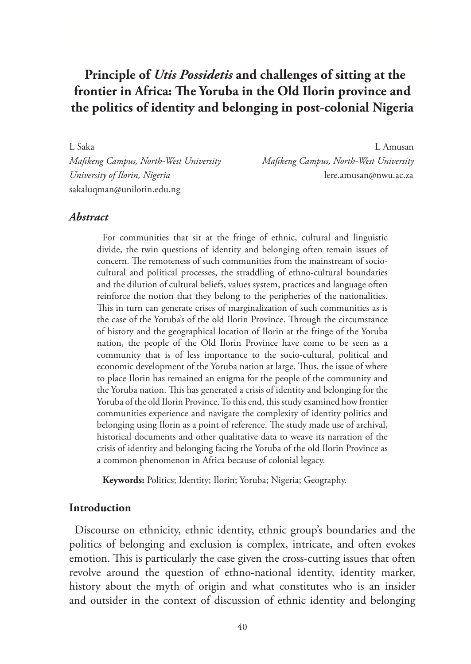# **Principle of** *Utis Possidetis* **and challenges of sitting at the frontier in Africa: The Yoruba in the Old Ilorin province and the politics of identity and belonging in post-colonial Nigeria**

sakaluqman@unilorin.edu.ng

L Saka L Amusan *Mafikeng Campus, North-West University Mafikeng Campus, North-West University University of Ilorin, Nigeria* lere.amusan@nwu.ac.za

#### *Abstract*

For communities that sit at the fringe of ethnic, cultural and linguistic divide, the twin questions of identity and belonging often remain issues of concern. The remoteness of such communities from the mainstream of sociocultural and political processes, the straddling of ethno-cultural boundaries and the dilution of cultural beliefs, values system, practices and language often reinforce the notion that they belong to the peripheries of the nationalities. This in turn can generate crises of marginalization of such communities as is the case of the Yoruba's of the old Ilorin Province. Through the circumstance of history and the geographical location of Ilorin at the fringe of the Yoruba nation, the people of the Old Ilorin Province have come to be seen as a community that is of less importance to the socio-cultural, political and economic development of the Yoruba nation at large. Thus, the issue of where to place Ilorin has remained an enigma for the people of the community and the Yoruba nation. This has generated a crisis of identity and belonging for the Yoruba of the old Ilorin Province. To this end, this study examined how frontier communities experience and navigate the complexity of identity politics and belonging using Ilorin as a point of reference. The study made use of archival, historical documents and other qualitative data to weave its narration of the crisis of identity and belonging facing the Yoruba of the old Ilorin Province as a common phenomenon in Africa because of colonial legacy.

**Keywords:** Politics; Identity; Ilorin; Yoruba; Nigeria; Geography.

#### **Introduction**

Discourse on ethnicity, ethnic identity, ethnic group's boundaries and the politics of belonging and exclusion is complex, intricate, and often evokes emotion. This is particularly the case given the cross-cutting issues that often revolve around the question of ethno-national identity, identity marker, history about the myth of origin and what constitutes who is an insider and outsider in the context of discussion of ethnic identity and belonging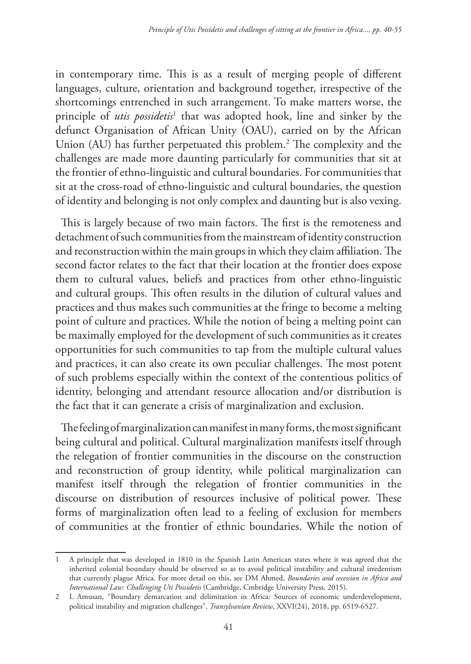in contemporary time. This is as a result of merging people of different languages, culture, orientation and background together, irrespective of the shortcomings entrenched in such arrangement. To make matters worse, the principle of *utis possidetis*<sup>1</sup> that was adopted hook, line and sinker by the defunct Organisation of African Unity (OAU), carried on by the African Union (AU) has further perpetuated this problem.<sup>2</sup> The complexity and the challenges are made more daunting particularly for communities that sit at the frontier of ethno-linguistic and cultural boundaries. For communities that sit at the cross-road of ethno-linguistic and cultural boundaries, the question of identity and belonging is not only complex and daunting but is also vexing.

This is largely because of two main factors. The first is the remoteness and detachment of such communities from the mainstream of identity construction and reconstruction within the main groups in which they claim affiliation. The second factor relates to the fact that their location at the frontier does expose them to cultural values, beliefs and practices from other ethno-linguistic and cultural groups. This often results in the dilution of cultural values and practices and thus makes such communities at the fringe to become a melting point of culture and practices. While the notion of being a melting point can be maximally employed for the development of such communities as it creates opportunities for such communities to tap from the multiple cultural values and practices, it can also create its own peculiar challenges. The most potent of such problems especially within the context of the contentious politics of identity, belonging and attendant resource allocation and/or distribution is the fact that it can generate a crisis of marginalization and exclusion.

The feeling of marginalization can manifest in many forms, the most significant being cultural and political. Cultural marginalization manifests itself through the relegation of frontier communities in the discourse on the construction and reconstruction of group identity, while political marginalization can manifest itself through the relegation of frontier communities in the discourse on distribution of resources inclusive of political power. These forms of marginalization often lead to a feeling of exclusion for members of communities at the frontier of ethnic boundaries. While the notion of

<sup>1</sup> A principle that was developed in 1810 in the Spanish Latin American states where it was agreed that the inherited colonial boundary should be observed so as to avoid political instability and cultural irredentism that currently plague Africa. For more detail on this, see DM Ahmed, *Boundaries and secession in Africa and International Law: Challenging Uti Possidetis* (Cambridge, Cmbridge University Press, 2015).

<sup>2</sup> L Amusan, "Boundary demarcation and delimitation in Africa: Sources of economic underdevelopment, political instability and migration challenges", *Transylvanian Review*, XXVI(24), 2018, pp. 6519-6527.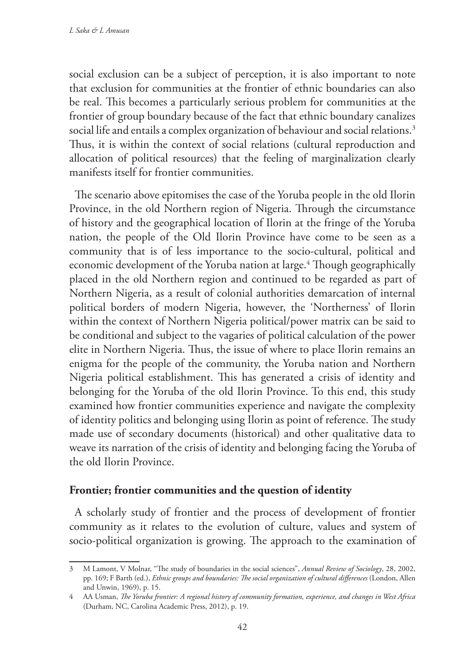social exclusion can be a subject of perception, it is also important to note that exclusion for communities at the frontier of ethnic boundaries can also be real. This becomes a particularly serious problem for communities at the frontier of group boundary because of the fact that ethnic boundary canalizes social life and entails a complex organization of behaviour and social relations.<sup>3</sup> Thus, it is within the context of social relations (cultural reproduction and allocation of political resources) that the feeling of marginalization clearly manifests itself for frontier communities.

The scenario above epitomises the case of the Yoruba people in the old Ilorin Province, in the old Northern region of Nigeria. Through the circumstance of history and the geographical location of Ilorin at the fringe of the Yoruba nation, the people of the Old Ilorin Province have come to be seen as a community that is of less importance to the socio-cultural, political and economic development of the Yoruba nation at large.<sup>4</sup> Though geographically placed in the old Northern region and continued to be regarded as part of Northern Nigeria, as a result of colonial authorities demarcation of internal political borders of modern Nigeria, however, the 'Northerness' of Ilorin within the context of Northern Nigeria political/power matrix can be said to be conditional and subject to the vagaries of political calculation of the power elite in Northern Nigeria. Thus, the issue of where to place Ilorin remains an enigma for the people of the community, the Yoruba nation and Northern Nigeria political establishment. This has generated a crisis of identity and belonging for the Yoruba of the old Ilorin Province. To this end, this study examined how frontier communities experience and navigate the complexity of identity politics and belonging using Ilorin as point of reference. The study made use of secondary documents (historical) and other qualitative data to weave its narration of the crisis of identity and belonging facing the Yoruba of the old Ilorin Province.

### **Frontier; frontier communities and the question of identity**

A scholarly study of frontier and the process of development of frontier community as it relates to the evolution of culture, values and system of socio-political organization is growing. The approach to the examination of

<sup>3</sup> M Lamont, V Molnar, "The study of boundaries in the social sciences", *Annual Review of Sociology*, 28, 2002, pp. 169; F Barth (ed.), *Ethnic groups and boundaries: The social organization of cultural differences* (London, Allen and Unwin, 1969), p. 15.

<sup>4</sup> AA Usman, *The Yoruba frontier: A regional history of community formation, experience, and changes in West Africa* (Durham, NC, Carolina Academic Press, 2012), p. 19.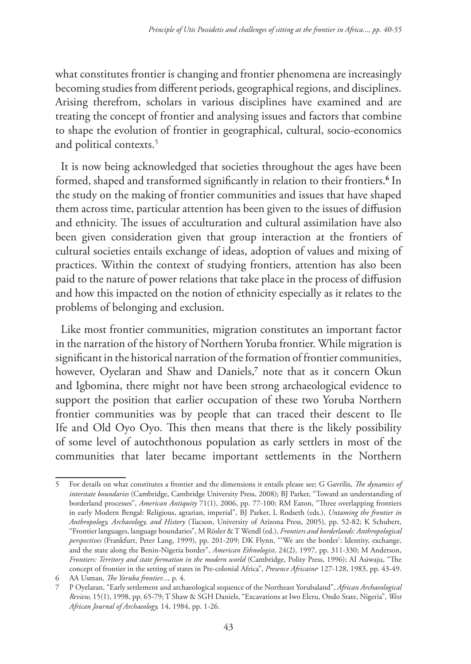what constitutes frontier is changing and frontier phenomena are increasingly becoming studies from different periods, geographical regions, and disciplines. Arising therefrom, scholars in various disciplines have examined and are treating the concept of frontier and analysing issues and factors that combine to shape the evolution of frontier in geographical, cultural, socio-economics and political contexts.<sup>5</sup>

It is now being acknowledged that societies throughout the ages have been formed, shaped and transformed significantly in relation to their frontiers.**<sup>6</sup>** In the study on the making of frontier communities and issues that have shaped them across time, particular attention has been given to the issues of diffusion and ethnicity. The issues of acculturation and cultural assimilation have also been given consideration given that group interaction at the frontiers of cultural societies entails exchange of ideas, adoption of values and mixing of practices. Within the context of studying frontiers, attention has also been paid to the nature of power relations that take place in the process of diffusion and how this impacted on the notion of ethnicity especially as it relates to the problems of belonging and exclusion.

Like most frontier communities, migration constitutes an important factor in the narration of the history of Northern Yoruba frontier. While migration is significant in the historical narration of the formation of frontier communities, however, Oyelaran and Shaw and Daniels,**<sup>7</sup>** note that as it concern Okun and Igbomina, there might not have been strong archaeological evidence to support the position that earlier occupation of these two Yoruba Northern frontier communities was by people that can traced their descent to Ile Ife and Old Oyo Oyo. This then means that there is the likely possibility of some level of autochthonous population as early settlers in most of the communities that later became important settlements in the Northern

<sup>5</sup> For details on what constitutes a frontier and the dimensions it entails please see; G Gavrilis, *The dynamics of interstate boundaries* (Cambridge, Cambridge University Press, 2008); BJ Parker, "Toward an understanding of borderland processes", *American Antiquity* 71(1), 2006, pp. 77-100; RM Eaton, "Three overlapping frontiers in early Modern Bengal: Religious, agrarian, imperial", BJ Parker, L Rodseth (eds.), *Untaming the frontier in Anthropology, Archaeology, and History* (Tucson, University of Arizona Press, 2005), pp. 52-82; K Schubert, "Frontier languages, language boundaries", M Rösler & T Wendl (ed.), *Frontiers and borderlands: Anthropological perspectives* (Frankfurt, Peter Lang, 1999), pp. 201-209; DK Flynn, "'We are the border': Identity, exchange, and the state along the Benin-Nigeria border", *American Ethnologist*, 24(2), 1997, pp. 311-330; M Anderson, *Frontiers: Territory and state formation in the modern world* (Cambridge, Polity Press, 1996); AI Asiwaju, "The concept of frontier in the setting of states in Pre-colonial Africa", *Presence Africaine*, 127-128, 1983, pp. 43-49.

<sup>6</sup> AA Usman, *The Yoruba frontier...*, p. 4.

<sup>7</sup> P Oyelaran, "Early settlement and archaeological sequence of the Northeast Yorubaland", *African Archaeological Review,* 15(1), 1998, pp. 65-79; T Shaw & SGH Daniels, "Excavations at Iwo Eleru, Ondo State, Nigeria", *West African Journal of Archaeology,* 14, 1984, pp. 1-26.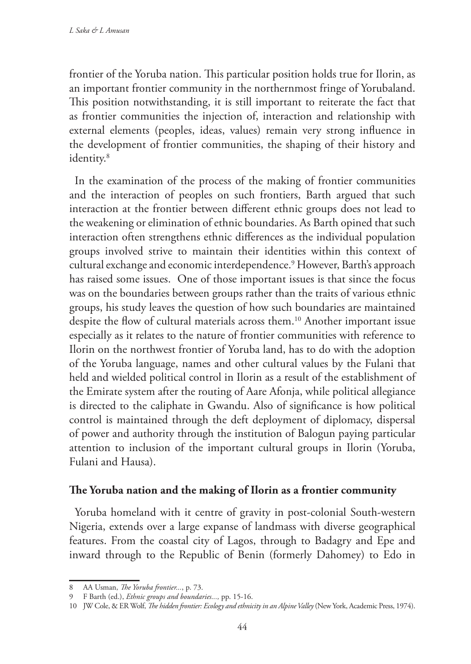frontier of the Yoruba nation. This particular position holds true for Ilorin, as an important frontier community in the northernmost fringe of Yorubaland. This position notwithstanding, it is still important to reiterate the fact that as frontier communities the injection of, interaction and relationship with external elements (peoples, ideas, values) remain very strong influence in the development of frontier communities, the shaping of their history and identity.8

In the examination of the process of the making of frontier communities and the interaction of peoples on such frontiers, Barth argued that such interaction at the frontier between different ethnic groups does not lead to the weakening or elimination of ethnic boundaries. As Barth opined that such interaction often strengthens ethnic differences as the individual population groups involved strive to maintain their identities within this context of cultural exchange and economic interdependence.9 However, Barth's approach has raised some issues. One of those important issues is that since the focus was on the boundaries between groups rather than the traits of various ethnic groups, his study leaves the question of how such boundaries are maintained despite the flow of cultural materials across them.<sup>10</sup> Another important issue especially as it relates to the nature of frontier communities with reference to Ilorin on the northwest frontier of Yoruba land, has to do with the adoption of the Yoruba language, names and other cultural values by the Fulani that held and wielded political control in Ilorin as a result of the establishment of the Emirate system after the routing of Aare Afonja, while political allegiance is directed to the caliphate in Gwandu. Also of significance is how political control is maintained through the deft deployment of diplomacy, dispersal of power and authority through the institution of Balogun paying particular attention to inclusion of the important cultural groups in Ilorin (Yoruba, Fulani and Hausa).

### **The Yoruba nation and the making of Ilorin as a frontier community**

Yoruba homeland with it centre of gravity in post-colonial South-western Nigeria, extends over a large expanse of landmass with diverse geographical features. From the coastal city of Lagos, through to Badagry and Epe and inward through to the Republic of Benin (formerly Dahomey) to Edo in

<sup>8</sup> AA Usman, *The Yoruba frontier...*, p. 73.

<sup>9</sup> F Barth (ed.), *Ethnic groups and boundaries...,* pp. 15-16.

<sup>10</sup> JW Cole, & ER Wolf, *The hidden frontier: Ecology and ethnicity in an Alpine Valley* (New York, Academic Press, 1974).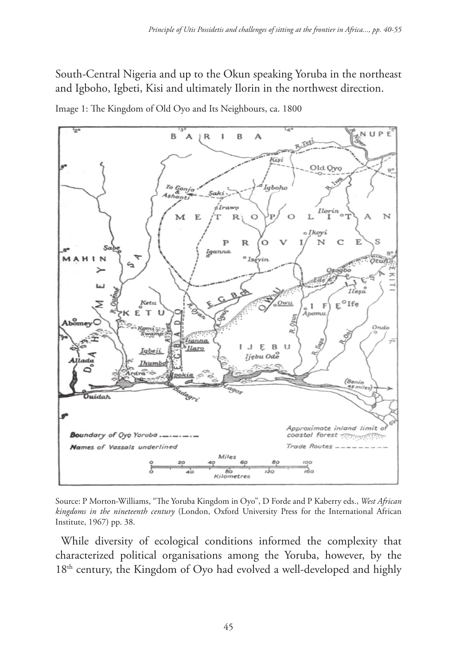South-Central Nigeria and up to the Okun speaking Yoruba in the northeast and Igboho, Igbeti, Kisi and ultimately Ilorin in the northwest direction.



Image 1: The Kingdom of Old Oyo and Its Neighbours, ca. 1800

Source: P Morton-Williams, "The Yoruba Kingdom in Oyo", D Forde and P Kaberry eds., *West African kingdoms in the nineteenth century* (London, Oxford University Press for the International African Institute, 1967) pp. 38.

While diversity of ecological conditions informed the complexity that characterized political organisations among the Yoruba, however, by the 18<sup>th</sup> century, the Kingdom of Oyo had evolved a well-developed and highly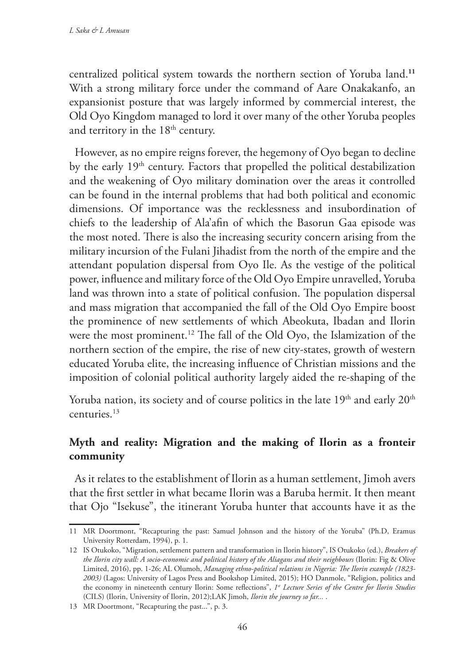centralized political system towards the northern section of Yoruba land.**<sup>11</sup>** With a strong military force under the command of Aare Onakakanfo, an expansionist posture that was largely informed by commercial interest, the Old Oyo Kingdom managed to lord it over many of the other Yoruba peoples and territory in the 18<sup>th</sup> century.

However, as no empire reigns forever, the hegemony of Oyo began to decline by the early 19<sup>th</sup> century. Factors that propelled the political destabilization and the weakening of Oyo military domination over the areas it controlled can be found in the internal problems that had both political and economic dimensions. Of importance was the recklessness and insubordination of chiefs to the leadership of Ala'afin of which the Basorun Gaa episode was the most noted. There is also the increasing security concern arising from the military incursion of the Fulani Jihadist from the north of the empire and the attendant population dispersal from Oyo Ile. As the vestige of the political power, influence and military force of the Old Oyo Empire unravelled, Yoruba land was thrown into a state of political confusion. The population dispersal and mass migration that accompanied the fall of the Old Oyo Empire boost the prominence of new settlements of which Abeokuta, Ibadan and Ilorin were the most prominent.12 The fall of the Old Oyo, the Islamization of the northern section of the empire, the rise of new city-states, growth of western educated Yoruba elite, the increasing influence of Christian missions and the imposition of colonial political authority largely aided the re-shaping of the

Yoruba nation, its society and of course politics in the late  $19<sup>th</sup>$  and early  $20<sup>th</sup>$ centuries.13

# **Myth and reality: Migration and the making of Ilorin as a fronteir community**

As it relates to the establishment of Ilorin as a human settlement, Jimoh avers that the first settler in what became Ilorin was a Baruba hermit. It then meant that Ojo "Isekuse", the itinerant Yoruba hunter that accounts have it as the

<sup>11</sup> MR Doortmont, "Recapturing the past: Samuel Johnson and the history of the Yoruba" (Ph.D, Eramus University Rotterdam, 1994), p. 1.

<sup>12</sup> IS Otukoko, "Migration, settlement pattern and transformation in Ilorin history", IS Otukoko (ed.), *Breakers of the Ilorin city wall: A socio-economic and political history of the Aliagans and their neighbours* (Ilorin: Fig & Olive Limited, 2016), pp. 1-26; AL Olumoh, *Managing ethno-political relations in Nigeria: The Ilorin example (1823- 2003)* (Lagos: University of Lagos Press and Bookshop Limited, 2015); HO Danmole, "Religion, politics and the economy in nineteenth century Ilorin: Some reflections", 1<sup>st</sup> Lecture Series of the Centre for Ilorin Studies (CILS) (Ilorin, University of Ilorin, 2012);LAK Jimoh, *Ilorin the journey so far...* .

<sup>13</sup> MR Doortmont, "Recapturing the past...", p. 3.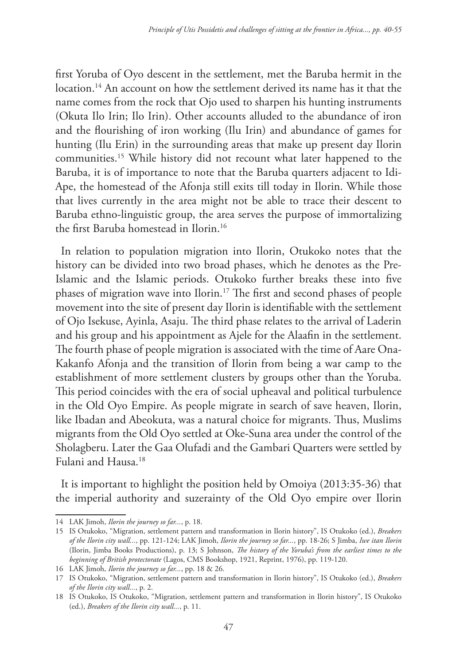first Yoruba of Oyo descent in the settlement, met the Baruba hermit in the location.<sup>14</sup> An account on how the settlement derived its name has it that the name comes from the rock that Ojo used to sharpen his hunting instruments (Okuta Ilo Irin; Ilo Irin). Other accounts alluded to the abundance of iron and the flourishing of iron working (Ilu Irin) and abundance of games for hunting (Ilu Erin) in the surrounding areas that make up present day Ilorin communities.15 While history did not recount what later happened to the Baruba, it is of importance to note that the Baruba quarters adjacent to Idi-Ape, the homestead of the Afonja still exits till today in Ilorin. While those that lives currently in the area might not be able to trace their descent to Baruba ethno-linguistic group, the area serves the purpose of immortalizing the first Baruba homestead in Ilorin.16

In relation to population migration into Ilorin, Otukoko notes that the history can be divided into two broad phases, which he denotes as the Pre-Islamic and the Islamic periods. Otukoko further breaks these into five phases of migration wave into Ilorin.17 The first and second phases of people movement into the site of present day Ilorin is identifiable with the settlement of Ojo Isekuse, Ayinla, Asaju. The third phase relates to the arrival of Laderin and his group and his appointment as Ajele for the Alaafin in the settlement. The fourth phase of people migration is associated with the time of Aare Ona-Kakanfo Afonja and the transition of Ilorin from being a war camp to the establishment of more settlement clusters by groups other than the Yoruba. This period coincides with the era of social upheaval and political turbulence in the Old Oyo Empire. As people migrate in search of save heaven, Ilorin, like Ibadan and Abeokuta, was a natural choice for migrants. Thus, Muslims migrants from the Old Oyo settled at Oke-Suna area under the control of the Sholagberu. Later the Gaa Olufadi and the Gambari Quarters were settled by Fulani and Hausa.18

It is important to highlight the position held by Omoiya (2013:35-36) that the imperial authority and suzerainty of the Old Oyo empire over Ilorin

<sup>14</sup> LAK Jimoh, *Ilorin the journey so far...*, p. 18.

<sup>15</sup> IS Otukoko, "Migration, settlement pattern and transformation in Ilorin history", IS Otukoko (ed.), *Breakers of the Ilorin city wall...*, pp. 121-124; LAK Jimoh, *Ilorin the journey so far...*, pp. 18-26; S Jimba, *Iwe itan Ilorin* (Ilorin, Jimba Books Productions), p. 13; S Johnson, *The history of the Yoruba's from the earliest times to the beginning of British protectorate* (Lagos, CMS Bookshop, 1921, Reprint, 1976), pp. 119-120.

<sup>16</sup> LAK Jimoh, *Ilorin the journey so far...*, pp. 18 & 26.

<sup>17</sup> IS Otukoko, "Migration, settlement pattern and transformation in Ilorin history", IS Otukoko (ed.), *Breakers of the Ilorin city wall...*, p. 2.

<sup>18</sup> IS Otukoko, IS Otukoko, "Migration, settlement pattern and transformation in Ilorin history", IS Otukoko (ed.), *Breakers of the Ilorin city wall...*, p. 11.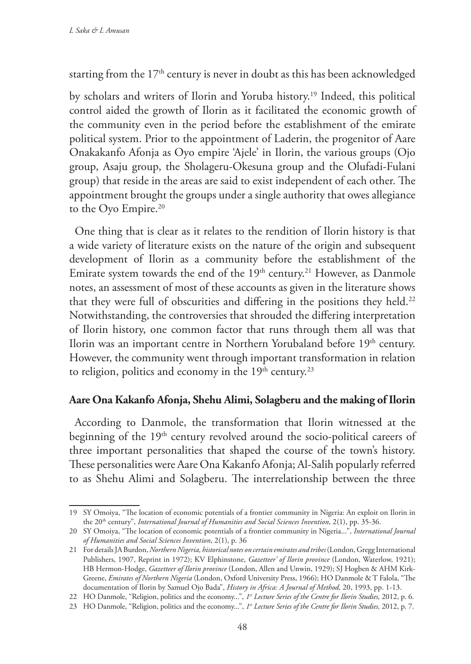starting from the 17<sup>th</sup> century is never in doubt as this has been acknowledged

by scholars and writers of Ilorin and Yoruba history.19 Indeed, this political control aided the growth of Ilorin as it facilitated the economic growth of the community even in the period before the establishment of the emirate political system. Prior to the appointment of Laderin, the progenitor of Aare Onakakanfo Afonja as Oyo empire 'Ajele' in Ilorin, the various groups (Ojo group, Asaju group, the Sholageru-Okesuna group and the Olufadi-Fulani group) that reside in the areas are said to exist independent of each other. The appointment brought the groups under a single authority that owes allegiance to the Oyo Empire.<sup>20</sup>

One thing that is clear as it relates to the rendition of Ilorin history is that a wide variety of literature exists on the nature of the origin and subsequent development of Ilorin as a community before the establishment of the Emirate system towards the end of the  $19<sup>th</sup>$  century.<sup>21</sup> However, as Danmole notes, an assessment of most of these accounts as given in the literature shows that they were full of obscurities and differing in the positions they held.<sup>22</sup> Notwithstanding, the controversies that shrouded the differing interpretation of Ilorin history, one common factor that runs through them all was that Ilorin was an important centre in Northern Yorubaland before 19<sup>th</sup> century. However, the community went through important transformation in relation to religion, politics and economy in the  $19<sup>th</sup>$  century.<sup>23</sup>

### **Aare Ona Kakanfo Afonja, Shehu Alimi, Solagberu and the making of Ilorin**

According to Danmole, the transformation that Ilorin witnessed at the beginning of the 19<sup>th</sup> century revolved around the socio-political careers of three important personalities that shaped the course of the town's history. These personalities were Aare Ona Kakanfo Afonja; Al-Salih popularly referred to as Shehu Alimi and Solagberu. The interrelationship between the three

<sup>19</sup> SY Omoiya, "The location of economic potentials of a frontier community in Nigeria: An exploit on Ilorin in the 20th century", *International Journal of Humanities and Social Sciences Invention*, 2(1), pp. 35-36.

<sup>20</sup> SY Omoiya, "The location of economic potentials of a frontier community in Nigeria...", *International Journal of Humanities and Social Sciences Invention*, 2(1), p. 36

<sup>21</sup> For details JA Burdon, *Northern Nigeria, historical notes on certain emirates and tribes* (London, Gregg International Publishers, 1907, Reprint in 1972); KV Elphinstone, *Gazetteer' of Ilorin province* (London, Waterlow, 1921); HB Hermon-Hodge, *Gazetteer of Ilorin province* (London, Allen and Unwin, 1929); SJ Hogben & AHM Kirk-Greene, *Emirates of Northern Nigeria* (London, Oxford University Press, 1966); HO Danmole & T Falola, "The documentation of Ilorin by Samuel Ojo Bada", *History in Africa: A Journal of Method,* 20, 1993, pp. 1-13.

<sup>22</sup> HO Danmole, "Religion, politics and the economy...", *1st Lecture Series of the Centre for Ilorin Studies,* 2012, p. 6.

<sup>23</sup> HO Danmole, "Religion, politics and the economy...", *1st Lecture Series of the Centre for Ilorin Studies,* 2012, p. 7.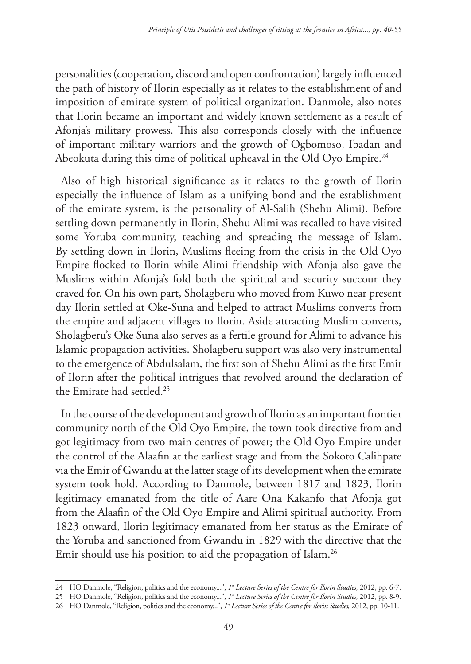personalities (cooperation, discord and open confrontation) largely influenced the path of history of Ilorin especially as it relates to the establishment of and imposition of emirate system of political organization. Danmole, also notes that Ilorin became an important and widely known settlement as a result of Afonja's military prowess. This also corresponds closely with the influence of important military warriors and the growth of Ogbomoso, Ibadan and Abeokuta during this time of political upheaval in the Old Oyo Empire.<sup>24</sup>

Also of high historical significance as it relates to the growth of Ilorin especially the influence of Islam as a unifying bond and the establishment of the emirate system, is the personality of Al-Salih (Shehu Alimi). Before settling down permanently in Ilorin, Shehu Alimi was recalled to have visited some Yoruba community, teaching and spreading the message of Islam. By settling down in Ilorin, Muslims fleeing from the crisis in the Old Oyo Empire flocked to Ilorin while Alimi friendship with Afonja also gave the Muslims within Afonja's fold both the spiritual and security succour they craved for. On his own part, Sholagberu who moved from Kuwo near present day Ilorin settled at Oke-Suna and helped to attract Muslims converts from the empire and adjacent villages to Ilorin. Aside attracting Muslim converts, Sholagberu's Oke Suna also serves as a fertile ground for Alimi to advance his Islamic propagation activities. Sholagberu support was also very instrumental to the emergence of Abdulsalam, the first son of Shehu Alimi as the first Emir of Ilorin after the political intrigues that revolved around the declaration of the Emirate had settled.25

In the course of the development and growth of Ilorin as an important frontier community north of the Old Oyo Empire, the town took directive from and got legitimacy from two main centres of power; the Old Oyo Empire under the control of the Alaafin at the earliest stage and from the Sokoto Calihpate via the Emir of Gwandu at the latter stage of its development when the emirate system took hold. According to Danmole, between 1817 and 1823, Ilorin legitimacy emanated from the title of Aare Ona Kakanfo that Afonja got from the Alaafin of the Old Oyo Empire and Alimi spiritual authority. From 1823 onward, Ilorin legitimacy emanated from her status as the Emirate of the Yoruba and sanctioned from Gwandu in 1829 with the directive that the Emir should use his position to aid the propagation of Islam.<sup>26</sup>

<sup>24</sup> HO Danmole, "Religion, politics and the economy...", *1st Lecture Series of the Centre for Ilorin Studies,* 2012, pp. 6-7.

<sup>25</sup> HO Danmole, "Religion, politics and the economy...", *1st Lecture Series of the Centre for Ilorin Studies,* 2012, pp. 8-9.

<sup>26</sup> HO Danmole, "Religion, politics and the economy...", *1st Lecture Series of the Centre for Ilorin Studies,* 2012, pp. 10-11.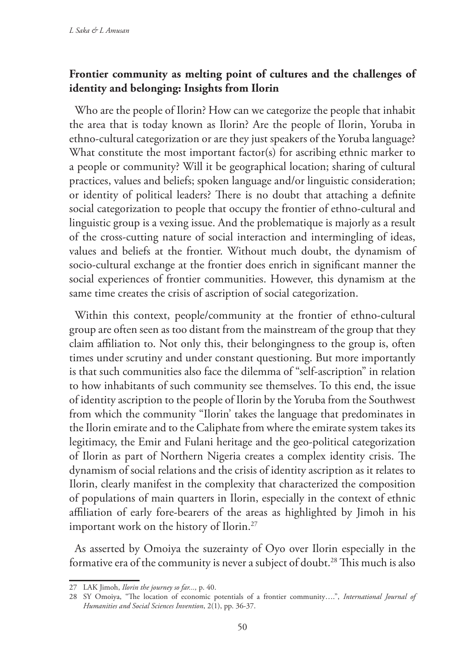# **Frontier community as melting point of cultures and the challenges of identity and belonging: Insights from Ilorin**

Who are the people of Ilorin? How can we categorize the people that inhabit the area that is today known as Ilorin? Are the people of Ilorin, Yoruba in ethno-cultural categorization or are they just speakers of the Yoruba language? What constitute the most important factor(s) for ascribing ethnic marker to a people or community? Will it be geographical location; sharing of cultural practices, values and beliefs; spoken language and/or linguistic consideration; or identity of political leaders? There is no doubt that attaching a definite social categorization to people that occupy the frontier of ethno-cultural and linguistic group is a vexing issue. And the problematique is majorly as a result of the cross-cutting nature of social interaction and intermingling of ideas, values and beliefs at the frontier. Without much doubt, the dynamism of socio-cultural exchange at the frontier does enrich in significant manner the social experiences of frontier communities. However, this dynamism at the same time creates the crisis of ascription of social categorization.

Within this context, people/community at the frontier of ethno-cultural group are often seen as too distant from the mainstream of the group that they claim affiliation to. Not only this, their belongingness to the group is, often times under scrutiny and under constant questioning. But more importantly is that such communities also face the dilemma of "self-ascription" in relation to how inhabitants of such community see themselves. To this end, the issue of identity ascription to the people of Ilorin by the Yoruba from the Southwest from which the community "Ilorin' takes the language that predominates in the Ilorin emirate and to the Caliphate from where the emirate system takes its legitimacy, the Emir and Fulani heritage and the geo-political categorization of Ilorin as part of Northern Nigeria creates a complex identity crisis. The dynamism of social relations and the crisis of identity ascription as it relates to Ilorin, clearly manifest in the complexity that characterized the composition of populations of main quarters in Ilorin, especially in the context of ethnic affiliation of early fore-bearers of the areas as highlighted by Jimoh in his important work on the history of Ilorin.27

As asserted by Omoiya the suzerainty of Oyo over Ilorin especially in the formative era of the community is never a subject of doubt.<sup>28</sup> This much is also

<sup>27</sup> LAK Jimoh, *Ilorin the journey so far...,* p. 40.

<sup>28</sup> SY Omoiya, "The location of economic potentials of a frontier community….", *International Journal of Humanities and Social Sciences Invention*, 2(1), pp. 36-37.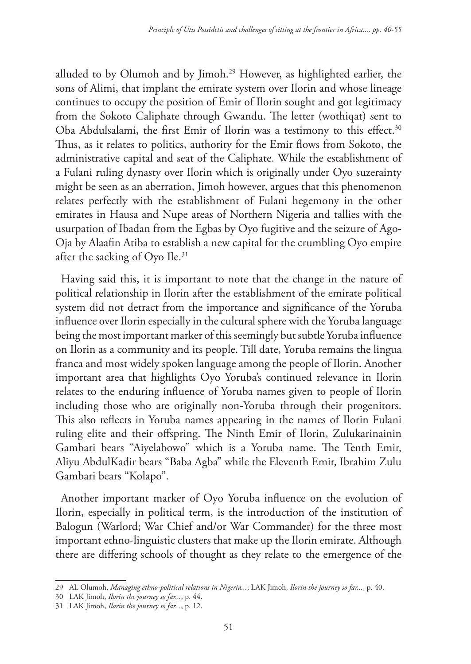alluded to by Olumoh and by Jimoh.29 However, as highlighted earlier, the sons of Alimi, that implant the emirate system over Ilorin and whose lineage continues to occupy the position of Emir of Ilorin sought and got legitimacy from the Sokoto Caliphate through Gwandu. The letter (wothiqat) sent to Oba Abdulsalami, the first Emir of Ilorin was a testimony to this effect.<sup>30</sup> Thus, as it relates to politics, authority for the Emir flows from Sokoto, the administrative capital and seat of the Caliphate. While the establishment of a Fulani ruling dynasty over Ilorin which is originally under Oyo suzerainty might be seen as an aberration, Jimoh however, argues that this phenomenon relates perfectly with the establishment of Fulani hegemony in the other emirates in Hausa and Nupe areas of Northern Nigeria and tallies with the usurpation of Ibadan from the Egbas by Oyo fugitive and the seizure of Ago-Oja by Alaafin Atiba to establish a new capital for the crumbling Oyo empire after the sacking of Oyo Ile.<sup>31</sup>

Having said this, it is important to note that the change in the nature of political relationship in Ilorin after the establishment of the emirate political system did not detract from the importance and significance of the Yoruba influence over Ilorin especially in the cultural sphere with the Yoruba language being the most important marker of this seemingly but subtle Yoruba influence on Ilorin as a community and its people. Till date, Yoruba remains the lingua franca and most widely spoken language among the people of Ilorin. Another important area that highlights Oyo Yoruba's continued relevance in Ilorin relates to the enduring influence of Yoruba names given to people of Ilorin including those who are originally non-Yoruba through their progenitors. This also reflects in Yoruba names appearing in the names of Ilorin Fulani ruling elite and their offspring. The Ninth Emir of Ilorin, Zulukarinainin Gambari bears "Aiyelabowo" which is a Yoruba name. The Tenth Emir, Aliyu AbdulKadir bears "Baba Agba" while the Eleventh Emir, Ibrahim Zulu Gambari bears "Kolapo".

Another important marker of Oyo Yoruba influence on the evolution of Ilorin, especially in political term, is the introduction of the institution of Balogun (Warlord; War Chief and/or War Commander) for the three most important ethno-linguistic clusters that make up the Ilorin emirate. Although there are differing schools of thought as they relate to the emergence of the

<sup>29</sup> AL Olumoh, *Managing ethno-political relations in Nigeria...*; LAK Jimoh, *Ilorin the journey so far...*, p. 40.

<sup>30</sup> LAK Jimoh, *Ilorin the journey so far...*, p. 44.

<sup>31</sup> LAK Jimoh, *Ilorin the journey so far...*, p. 12.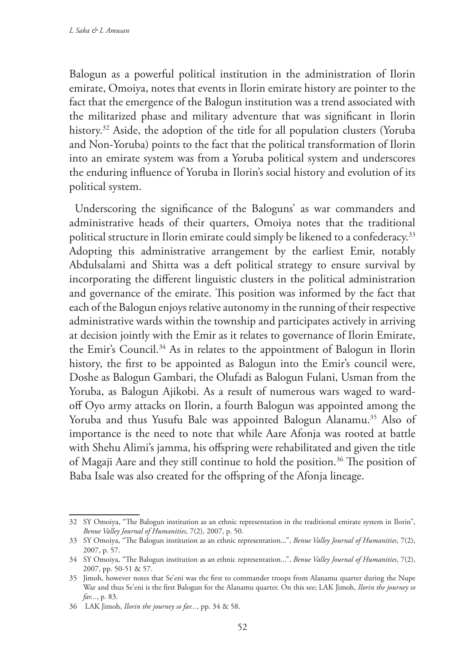Balogun as a powerful political institution in the administration of Ilorin emirate, Omoiya, notes that events in Ilorin emirate history are pointer to the fact that the emergence of the Balogun institution was a trend associated with the militarized phase and military adventure that was significant in Ilorin history.<sup>32</sup> Aside, the adoption of the title for all population clusters (Yoruba and Non-Yoruba) points to the fact that the political transformation of Ilorin into an emirate system was from a Yoruba political system and underscores the enduring influence of Yoruba in Ilorin's social history and evolution of its political system.

Underscoring the significance of the Baloguns' as war commanders and administrative heads of their quarters, Omoiya notes that the traditional political structure in Ilorin emirate could simply be likened to a confederacy.<sup>33</sup> Adopting this administrative arrangement by the earliest Emir, notably Abdulsalami and Shitta was a deft political strategy to ensure survival by incorporating the different linguistic clusters in the political administration and governance of the emirate. This position was informed by the fact that each of the Balogun enjoys relative autonomy in the running of their respective administrative wards within the township and participates actively in arriving at decision jointly with the Emir as it relates to governance of Ilorin Emirate, the Emir's Council.<sup>34</sup> As in relates to the appointment of Balogun in Ilorin history, the first to be appointed as Balogun into the Emir's council were, Doshe as Balogun Gambari, the Olufadi as Balogun Fulani, Usman from the Yoruba, as Balogun Ajikobi. As a result of numerous wars waged to wardoff Oyo army attacks on Ilorin, a fourth Balogun was appointed among the Yoruba and thus Yusufu Bale was appointed Balogun Alanamu.<sup>35</sup> Also of importance is the need to note that while Aare Afonja was rooted at battle with Shehu Alimi's jamma, his offspring were rehabilitated and given the title of Magaji Aare and they still continue to hold the position.<sup>36</sup> The position of Baba Isale was also created for the offspring of the Afonja lineage.

<sup>32</sup> SY Omoiya, "The Balogun institution as an ethnic representation in the traditional emirate system in Ilorin", *Benue Valley Journal of Humanities*, 7(2), 2007, p. 50.

<sup>33</sup> SY Omoiya, "The Balogun institution as an ethnic representation...", *Benue Valley Journal of Humanities*, 7(2), 2007, p. 57.

<sup>34</sup> SY Omoiya, "The Balogun institution as an ethnic representation...", *Benue Valley Journal of Humanities*, 7(2), 2007, pp. 50-51 & 57.

<sup>35</sup> Jimoh, however notes that Se'eni was the first to commander troops from Alanamu quarter during the Nupe War and thus Se'eni is the first Balogun for the Alanamu quarter. On this see; LAK Jimoh, *Ilorin the journey so far...*, p. 83.

<sup>36</sup> LAK Jimoh, *Ilorin the journey so far...*, pp. 34 & 58.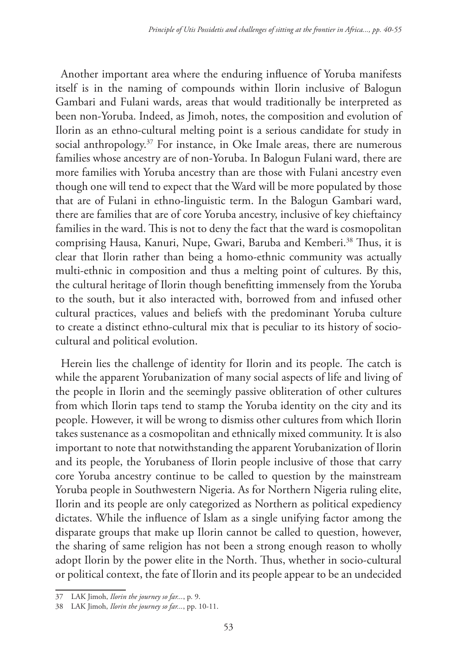Another important area where the enduring influence of Yoruba manifests itself is in the naming of compounds within Ilorin inclusive of Balogun Gambari and Fulani wards, areas that would traditionally be interpreted as been non-Yoruba. Indeed, as Jimoh, notes, the composition and evolution of Ilorin as an ethno-cultural melting point is a serious candidate for study in social anthropology.37 For instance, in Oke Imale areas, there are numerous families whose ancestry are of non-Yoruba. In Balogun Fulani ward, there are more families with Yoruba ancestry than are those with Fulani ancestry even though one will tend to expect that the Ward will be more populated by those that are of Fulani in ethno-linguistic term. In the Balogun Gambari ward, there are families that are of core Yoruba ancestry, inclusive of key chieftaincy families in the ward. This is not to deny the fact that the ward is cosmopolitan comprising Hausa, Kanuri, Nupe, Gwari, Baruba and Kemberi.38 Thus, it is clear that Ilorin rather than being a homo-ethnic community was actually multi-ethnic in composition and thus a melting point of cultures. By this, the cultural heritage of Ilorin though benefitting immensely from the Yoruba to the south, but it also interacted with, borrowed from and infused other cultural practices, values and beliefs with the predominant Yoruba culture to create a distinct ethno-cultural mix that is peculiar to its history of sociocultural and political evolution.

Herein lies the challenge of identity for Ilorin and its people. The catch is while the apparent Yorubanization of many social aspects of life and living of the people in Ilorin and the seemingly passive obliteration of other cultures from which Ilorin taps tend to stamp the Yoruba identity on the city and its people. However, it will be wrong to dismiss other cultures from which Ilorin takes sustenance as a cosmopolitan and ethnically mixed community. It is also important to note that notwithstanding the apparent Yorubanization of Ilorin and its people, the Yorubaness of Ilorin people inclusive of those that carry core Yoruba ancestry continue to be called to question by the mainstream Yoruba people in Southwestern Nigeria. As for Northern Nigeria ruling elite, Ilorin and its people are only categorized as Northern as political expediency dictates. While the influence of Islam as a single unifying factor among the disparate groups that make up Ilorin cannot be called to question, however, the sharing of same religion has not been a strong enough reason to wholly adopt Ilorin by the power elite in the North. Thus, whether in socio-cultural or political context, the fate of Ilorin and its people appear to be an undecided

<sup>37</sup> LAK Jimoh, *Ilorin the journey so far...*, p. 9.

<sup>38</sup> LAK Jimoh, *Ilorin the journey so far...*, pp. 10-11.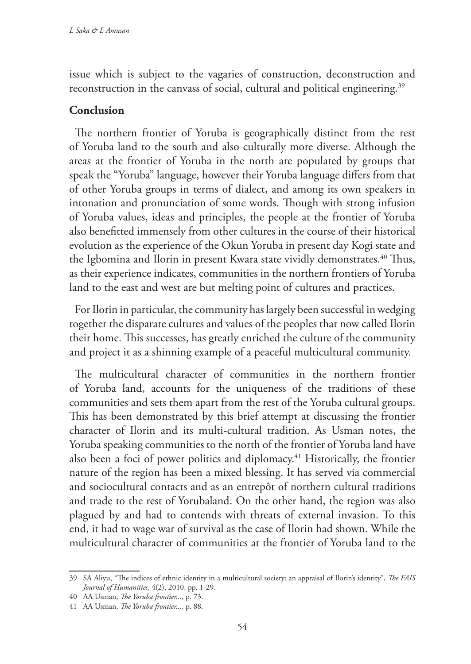issue which is subject to the vagaries of construction, deconstruction and reconstruction in the canvass of social, cultural and political engineering.<sup>39</sup>

## **Conclusion**

The northern frontier of Yoruba is geographically distinct from the rest of Yoruba land to the south and also culturally more diverse. Although the areas at the frontier of Yoruba in the north are populated by groups that speak the "Yoruba" language, however their Yoruba language differs from that of other Yoruba groups in terms of dialect, and among its own speakers in intonation and pronunciation of some words. Though with strong infusion of Yoruba values, ideas and principles, the people at the frontier of Yoruba also benefitted immensely from other cultures in the course of their historical evolution as the experience of the Okun Yoruba in present day Kogi state and the Igbomina and Ilorin in present Kwara state vividly demonstrates.<sup>40</sup> Thus, as their experience indicates, communities in the northern frontiers of Yoruba land to the east and west are but melting point of cultures and practices.

For Ilorin in particular, the community has largely been successful in wedging together the disparate cultures and values of the peoples that now called Ilorin their home. This successes, has greatly enriched the culture of the community and project it as a shinning example of a peaceful multicultural community.

The multicultural character of communities in the northern frontier of Yoruba land, accounts for the uniqueness of the traditions of these communities and sets them apart from the rest of the Yoruba cultural groups. This has been demonstrated by this brief attempt at discussing the frontier character of Ilorin and its multi-cultural tradition. As Usman notes, the Yoruba speaking communities to the north of the frontier of Yoruba land have also been a foci of power politics and diplomacy.<sup>41</sup> Historically, the frontier nature of the region has been a mixed blessing. It has served via commercial and sociocultural contacts and as an entrepôt of northern cultural traditions and trade to the rest of Yorubaland. On the other hand, the region was also plagued by and had to contends with threats of external invasion. To this end, it had to wage war of survival as the case of Ilorin had shown. While the multicultural character of communities at the frontier of Yoruba land to the

<sup>39</sup> SA Aliyu, "The indices of ethnic identity in a multicultural society: an appraisal of Ilorin's identity", *The FAIS Journal of Humanities*, 4(2), 2010, pp. 1-29.

<sup>40</sup> AA Usman, *The Yoruba frontier...*, p. 73.

<sup>41</sup> AA Usman, *The Yoruba frontier...*, p. 88.